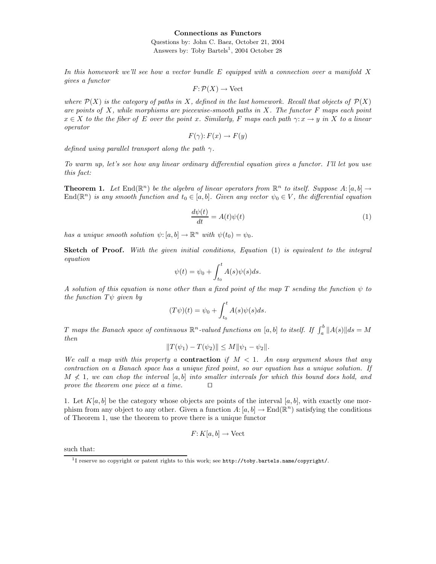## Connections as Functors

Questions by: John C. Baez, October 21, 2004 Answers by: Toby Bartels<sup>1</sup>, 2004 October 28

In this homework we'll see how a vector bundle  $E$  equipped with a connection over a manifold  $X$ gives a functor

$$
F: \mathcal{P}(X) \to \mathrm{Vect}
$$

where  $\mathcal{P}(X)$  is the category of paths in X, defined in the last homework. Recall that objects of  $\mathcal{P}(X)$ are points of  $X$ , while morphisms are piecewise-smooth paths in  $X$ . The functor  $F$  maps each point  $x \in X$  to the the fiber of E over the point x. Similarly, F maps each path  $\gamma: x \to y$  in X to a linear operator

$$
F(\gamma): F(x) \to F(y)
$$

defined using parallel transport along the path  $\gamma$ .

To warm up, let's see how any linear ordinary differential equation gives a functor. I'll let you use this fact:

**Theorem 1.** Let  $\text{End}(\mathbb{R}^n)$  be the algebra of linear operators from  $\mathbb{R}^n$  to itself. Suppose  $A: [a, b] \to$  $\text{End}(\mathbb{R}^n)$  is any smooth function and  $t_0 \in [a, b]$ . Given any vector  $\psi_0 \in V$ , the differential equation

$$
\frac{d\psi(t)}{dt} = A(t)\psi(t) \tag{1}
$$

has a unique smooth solution  $\psi$ :  $[a, b] \to \mathbb{R}^n$  with  $\psi(t_0) = \psi_0$ .

Sketch of Proof. With the given initial conditions, Equation (1) is equivalent to the integral equation

$$
\psi(t) = \psi_0 + \int_{t_0}^t A(s)\psi(s)ds.
$$

A solution of this equation is none other than a fixed point of the map T sending the function  $\psi$  to the function  $T\psi$  given by

$$
(T\psi)(t) = \psi_0 + \int_{t_0}^t A(s)\psi(s)ds.
$$

T maps the Banach space of continuous  $\mathbb{R}^n$ -valued functions on  $[a, b]$  to itself. If  $\int_a^b \|A(s)\| ds = M$ then

$$
||T(\psi_1) - T(\psi_2)|| \le M ||\psi_1 - \psi_2||.
$$

We call a map with this property a **contraction** if  $M < 1$ . An easy argument shows that any contraction on a Banach space has a unique fixed point, so our equation has a unique solution. If  $M \nless 1$ , we can chop the interval [a, b] into smaller intervals for which this bound does hold, and prove the theorem one piece at a time.  $\Box$ 

1. Let  $K[a, b]$  be the category whose objects are points of the interval  $[a, b]$ , with exactly one morphism from any object to any other. Given a function  $A: [a, b] \to \text{End}(\mathbb{R}^n)$  satisfying the conditions of Theorem 1, use the theorem to prove there is a unique functor

$$
F: K[a, b] \to \text{Vect}
$$

such that:

<sup>&</sup>lt;sup>1</sup>I reserve no copyright or patent rights to this work; see http://toby.bartels.name/copyright/.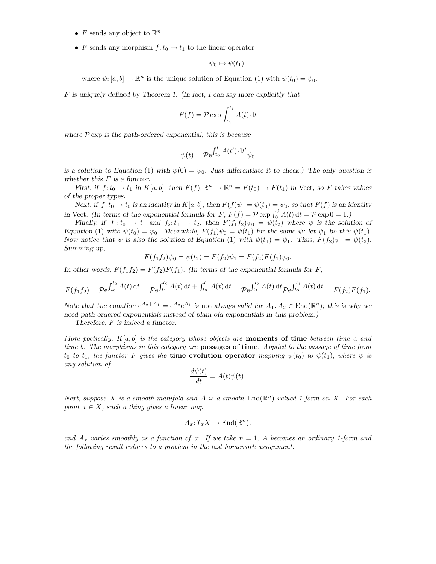- F sends any object to  $\mathbb{R}^n$ .
- F sends any morphism  $f: t_0 \to t_1$  to the linear operator

$$
\psi_0 \mapsto \psi(t_1)
$$

where  $\psi: [a, b] \to \mathbb{R}^n$  is the unique solution of Equation (1) with  $\psi(t_0) = \psi_0$ .

F is uniquely defined by Theorem 1. (In fact, I can say more explicitly that

$$
F(f) = \mathcal{P} \exp \int_{t_0}^{t_1} A(t) dt
$$

where  $P \exp$  is the path-ordered exponential; this is because

$$
\psi(t) = \mathcal{P}e^{\int_{t_0}^t A(t') dt'} \psi_0
$$

is a solution to Equation (1) with  $\psi(0) = \psi_0$ . Just differentiate it to check.) The only question is whether this  $\cal F$  is a functor.

First, if  $f: t_0 \to t_1$  in  $K[a, b]$ , then  $F(f): \mathbb{R}^n \to \mathbb{R}^n = F(t_0) \to F(t_1)$  in Vect, so F takes values of the proper types.

Next, if  $f: t_0 \to t_0$  is an identity in  $K[a, b]$ , then  $F(f)\psi_0 = \psi(t_0) = \psi_0$ , so that  $F(f)$  is an identity in Vect. (In terms of the exponential formula for F,  $F(f) = \mathcal{P} \exp \int_0^0 A(t) dt = \mathcal{P} \exp 0 = 1$ .)

Finally, if  $f_1: t_0 \to t_1$  and  $f_2: t_1 \to t_2$ , then  $F(f_1f_2)\psi_0 = \psi(t_2)$  where  $\psi$  is the solution of Equation (1) with  $\psi(t_0) = \psi_0$ . Meanwhile,  $F(f_1)\psi_0 = \psi(t_1)$  for the same  $\psi$ ; let  $\psi_1$  be this  $\psi(t_1)$ . Now notice that  $\psi$  is also the solution of Equation (1) with  $\psi(t_1) = \psi_1$ . Thus,  $F(f_2)\psi_1 = \psi(t_2)$ . Summing up,

$$
F(f_1f_2)\psi_0 = \psi(t_2) = F(f_2)\psi_1 = F(f_2)F(f_1)\psi_0.
$$

In other words,  $F(f_1f_2) = F(f_2)F(f_1)$ . (In terms of the exponential formula for F,

$$
F(f_1f_2) = \mathcal{P}e^{\int_{t_0}^{t_2} A(t) dt} = \mathcal{P}e^{\int_{t_1}^{t_2} A(t) dt} + \int_{t_0}^{t_1} A(t) dt = \mathcal{P}e^{\int_{t_1}^{t_2} A(t) dt} \mathcal{P}e^{\int_{t_0}^{t_1} A(t) dt} = F(f_2)F(f_1).
$$

Note that the equation  $e^{A_2+A_1} = e^{A_2}e^{A_1}$  is not always valid for  $A_1, A_2 \in \text{End}(\mathbb{R}^n)$ ; this is why we need path-ordered exponentials instead of plain old exponentials in this problem.)

Therefore, F is indeed a functor.

More poetically,  $K[a, b]$  is the category whose objects are **moments of time** between time a and time b. The morphisms in this category are **passages of time**. Applied to the passage of time from  $t_0$  to  $t_1$ , the functor F gives the time evolution operator mapping  $\psi(t_0)$  to  $\psi(t_1)$ , where  $\psi$  is any solution of

$$
\frac{d\psi(t)}{dt} = A(t)\psi(t).
$$

Next, suppose X is a smooth manifold and A is a smooth  $\text{End}(\mathbb{R}^n)$ -valued 1-form on X. For each point  $x \in X$ , such a thing gives a linear map

$$
A_x: T_x X \to \text{End}(\mathbb{R}^n),
$$

and  $A_x$  varies smoothly as a function of x. If we take  $n = 1$ , A becomes an ordinary 1-form and the following result reduces to a problem in the last homework assignment: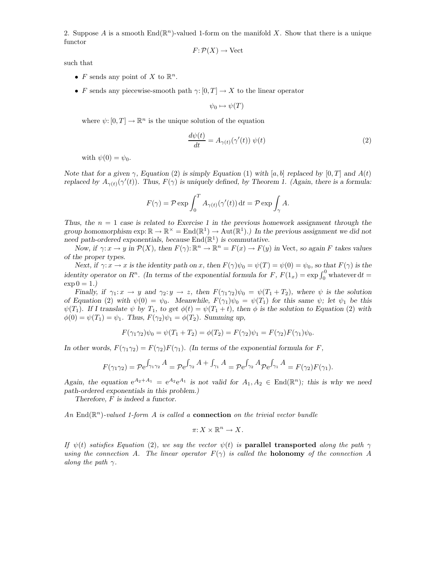2. Suppose A is a smooth  $\text{End}(\mathbb{R}^n)$ -valued 1-form on the manifold X. Show that there is a unique functor

$$
F: \mathcal{P}(X) \to \text{Vect}
$$

such that

- F sends any point of X to  $\mathbb{R}^n$ .
- F sends any piecewise-smooth path  $\gamma: [0, T] \to X$  to the linear operator

 $\psi_0 \mapsto \psi(T)$ 

where  $\psi: [0, T] \to \mathbb{R}^n$  is the unique solution of the equation

$$
\frac{d\psi(t)}{dt} = A_{\gamma(t)}(\gamma'(t)) \psi(t)
$$
\n(2)

with  $\psi(0) = \psi_0$ .

Note that for a given  $\gamma$ , Equation (2) is simply Equation (1) with [a, b] replaced by [0, T] and  $A(t)$ replaced by  $A_{\gamma(t)}(\gamma'(t))$ . Thus,  $F(\gamma)$  is uniquely defined, by Theorem 1. (Again, there is a formula:

$$
F(\gamma) = \mathcal{P} \exp \int_0^T A_{\gamma(t)}(\gamma'(t)) dt = \mathcal{P} \exp \int_{\gamma} A.
$$

Thus, the  $n = 1$  case is related to Exercise 1 in the previous homework assignment through the group homomorphism  $\exp: \mathbb{R} \to \mathbb{R}^\times = \text{End}(\mathbb{R}^1) \to \text{Aut}(\mathbb{R}^1)$ .) In the previous assignment we did not need path-ordered exponentials, because  $\text{End}(\mathbb{R}^1)$  is commutative.

Now, if  $\gamma: x \to y$  in  $\mathcal{P}(X)$ , then  $F(\gamma): \mathbb{R}^n \to \mathbb{R}^n = F(x) \to F(y)$  in Vect, so again F takes values of the proper types.

Next, if  $\gamma: x \to x$  is the identity path on x, then  $F(\gamma)\psi_0 = \psi(T) = \psi(0) = \psi_0$ , so that  $F(\gamma)$  is the identity operator on  $R^n$ . (In terms of the exponential formula for F,  $F(1_x) = \exp \int_0^0$  whatever dt =  $\exp 0 = 1.$ 

Finally, if  $\gamma_1: x \to y$  and  $\gamma_2: y \to z$ , then  $F(\gamma_1 \gamma_2) \psi_0 = \psi(T_1 + T_2)$ , where  $\psi$  is the solution of Equation (2) with  $\psi(0) = \psi_0$ . Meanwhile,  $F(\gamma_1)\psi_0 = \psi(T_1)$  for this same  $\psi$ ; let  $\psi_1$  be this  $\psi(T_1)$ . If I translate  $\psi$  by  $T_1$ , to get  $\phi(t) = \psi(T_1 + t)$ , then  $\phi$  is the solution to Equation (2) with  $\phi(0) = \psi(T_1) = \psi_1$ . Thus,  $F(\gamma_2)\psi_1 = \phi(T_2)$ . Summing up,

$$
F(\gamma_1 \gamma_2)\psi_0 = \psi(T_1 + T_2) = \phi(T_2) = F(\gamma_2)\psi_1 = F(\gamma_2)F(\gamma_1)\psi_0.
$$

In other words,  $F(\gamma_1 \gamma_2) = F(\gamma_2)F(\gamma_1)$ . (In terms of the exponential formula for F,

$$
F(\gamma_1 \gamma_2) = \mathcal{P} e^{\int_{\gamma_1 \gamma_2} A} = \mathcal{P} e^{\int_{\gamma_2} A + \int_{\gamma_1} A} = \mathcal{P} e^{\int_{\gamma_2} A} \mathcal{P} e^{\int_{\gamma_1} A} = F(\gamma_2) F(\gamma_1).
$$

Again, the equation  $e^{A_2+A_1} = e^{A_2}e^{A_1}$  is not valid for  $A_1, A_2 \in End(\mathbb{R}^n)$ ; this is why we need path-ordered exponentials in this problem.)

Therefore, F is indeed a functor.

An  $\text{End}(\mathbb{R}^n)$ -valued 1-form A is called a **connection** on the trivial vector bundle

$$
\pi: X \times \mathbb{R}^n \to X.
$$

If  $\psi(t)$  satisfies Equation (2), we say the vector  $\psi(t)$  is **parallel transported** along the path  $\gamma$ using the connection A. The linear operator  $F(\gamma)$  is called the **holonomy** of the connection A along the path  $\gamma$ .